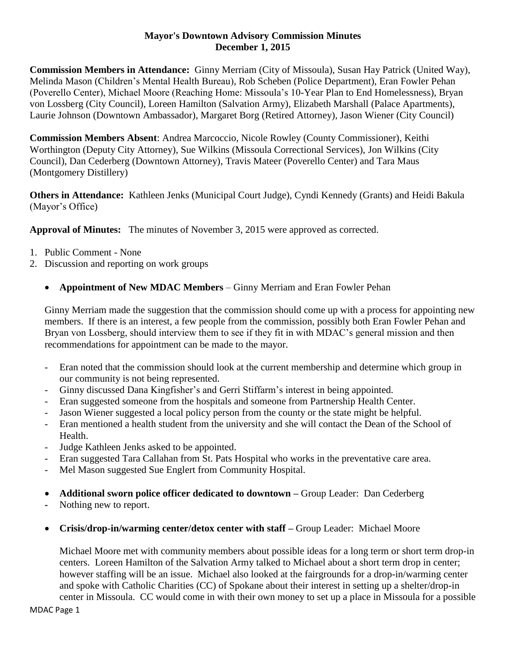## **Mayor's Downtown Advisory Commission Minutes December 1, 2015**

**Commission Members in Attendance:** Ginny Merriam (City of Missoula), Susan Hay Patrick (United Way), Melinda Mason (Children's Mental Health Bureau), Rob Scheben (Police Department), Eran Fowler Pehan (Poverello Center), Michael Moore (Reaching Home: Missoula's 10-Year Plan to End Homelessness), Bryan von Lossberg (City Council), Loreen Hamilton (Salvation Army), Elizabeth Marshall (Palace Apartments), Laurie Johnson (Downtown Ambassador), Margaret Borg (Retired Attorney), Jason Wiener (City Council)

**Commission Members Absent**: Andrea Marcoccio, Nicole Rowley (County Commissioner), Keithi Worthington (Deputy City Attorney), Sue Wilkins (Missoula Correctional Services), Jon Wilkins (City Council), Dan Cederberg (Downtown Attorney), Travis Mateer (Poverello Center) and Tara Maus (Montgomery Distillery)

**Others in Attendance:** Kathleen Jenks (Municipal Court Judge), Cyndi Kennedy (Grants) and Heidi Bakula (Mayor's Office)

**Approval of Minutes:** The minutes of November 3, 2015 were approved as corrected.

- 1. Public Comment None
- 2. Discussion and reporting on work groups
	- **Appointment of New MDAC Members** Ginny Merriam and Eran Fowler Pehan

Ginny Merriam made the suggestion that the commission should come up with a process for appointing new members. If there is an interest, a few people from the commission, possibly both Eran Fowler Pehan and Bryan von Lossberg, should interview them to see if they fit in with MDAC's general mission and then recommendations for appointment can be made to the mayor.

- Eran noted that the commission should look at the current membership and determine which group in our community is not being represented.
- Ginny discussed Dana Kingfisher's and Gerri Stiffarm's interest in being appointed.
- Eran suggested someone from the hospitals and someone from Partnership Health Center.
- Jason Wiener suggested a local policy person from the county or the state might be helpful.
- Eran mentioned a health student from the university and she will contact the Dean of the School of Health.
- Judge Kathleen Jenks asked to be appointed.
- Eran suggested Tara Callahan from St. Pats Hospital who works in the preventative care area.
- Mel Mason suggested Sue Englert from Community Hospital.
- **Additional sworn police officer dedicated to downtown –** Group Leader: Dan Cederberg
- **-** Nothing new to report.
- **Crisis/drop-in/warming center/detox center with staff –** Group Leader: Michael Moore

Michael Moore met with community members about possible ideas for a long term or short term drop-in centers. Loreen Hamilton of the Salvation Army talked to Michael about a short term drop in center; however staffing will be an issue. Michael also looked at the fairgrounds for a drop-in/warming center and spoke with Catholic Charities (CC) of Spokane about their interest in setting up a shelter/drop-in center in Missoula. CC would come in with their own money to set up a place in Missoula for a possible